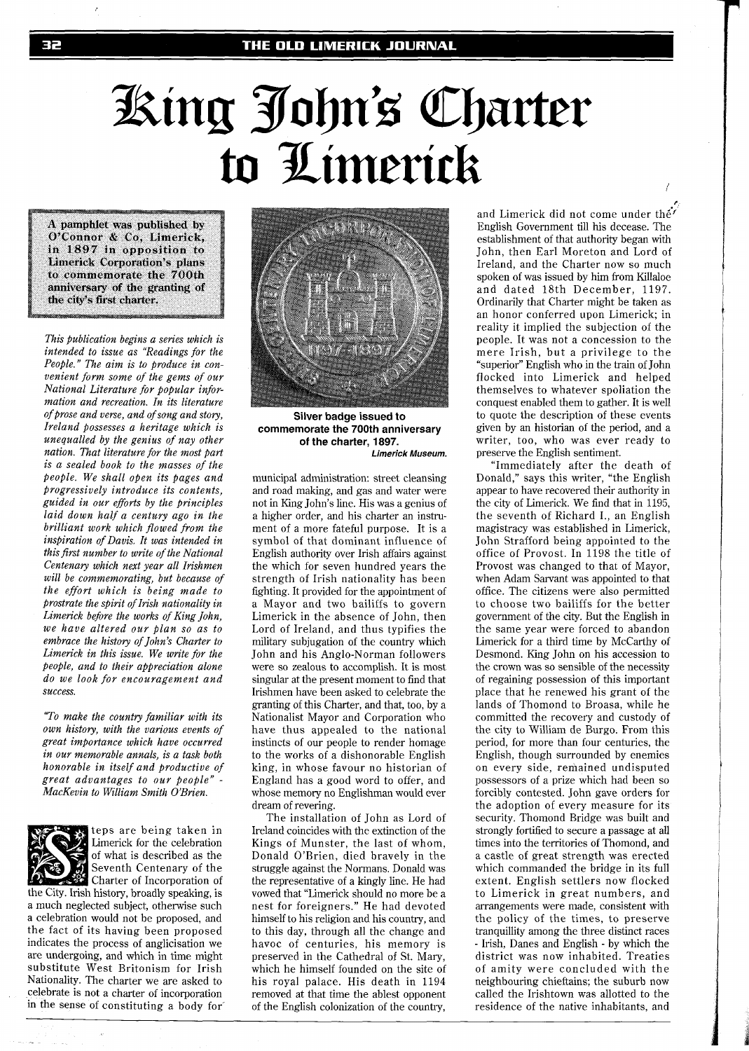## King John's Charter to Limerick

A pamphlet was published by O'Connor & Co, Limerick, in 1897 in opposition to **Limerick Corporation's plans** to commemorate the 700th anniversary of the granting of the city's first charter.

*This publication begins a series which is intended to issue as "Readings for the People." The aim is to produce in convenient form some of the gems of our National Literature for popular information and recreation. In its literature of prose and verse, and of song and story, Ireland possesses a heritage which is unequalled by the genius of nay other nation. That literature for the most part is a sealed book to the masses of the people. We shall open its pages and Progressively introduce its contents, guided in our eforts by the principles laid down half a century ago in the brilliant work which flowed from the inspiration of Davis. It was intended in this first number to write of the National Centenary which next year all Irishmen will be commemorating, but because of the effort which is being made to prostrate the spirit of Irish nationality in Limerick before the works of King John, we have altered our plan so as to embrace the history of John's Charter to Limerick in this issue. We write for the people, and to their appreciation alone do we look for encouragement and success.* 

*"To make the country familiar with its own history, with the various events of great importance which have occurred in our memorable annals, is a task both honorable in itself and productive of great advantages to our people"* - *MacKevin to William Smith O'Brien.* 



teps are being taken in Limerick for the celebration of what is described as the Seventh Centenary of the Charter of Incorporation of

the City. Irish history, broadly speaking, is a much neglected subject, otherwise such a celebration would not be proposed, and the fact of its having been proposed indicates the process of anglicisation we are undergoing, and which in time might substitute West Britonism for Irish Nationality. The charter we are asked to celebrate is not a charter of incorporation in the sense of constituting a body for



**Silver badge issued to commemorate the 700th anniversary of the charter, 1897. Limerick Museum.** 

municipal administration: street cleansing and road making, and gas and water were not in King John's line. His was a genius of a higher order, and his charter an instrument of a more fateful purpose. It is a symbol of that dominant influence of English authority over Irish affairs against the which for seven hundred years the strength of Irish nationality has been fighting. It provided for the appointment of a Mayor and two bailiffs to govern Limerick in the absence of John, then Lord of Ireland, and thus typifies the military subjugation of the country which John and his Anglo-Norman followers were so zealous to accomplish. It is most singular at the present moment to find that Irishmen have been asked to celebrate the granting of this Charter, and that, too, by a Nationalist Mayor and Corporation who have thus appealed to the national instincts of our people to render homage to the works of a dishonorable English king, in whose favour no historian of England has a good word to offer, and whose memory no Englishman would ever dream of revering.

The installation of John as Lord of Ireland coincides with the extinction of the Kings of Munster, the last of whom, Donald O'Brien, died bravely in the struggle against the Normans. Donald was the representative of a kingly line. He had vowed that "Limerick should no more be a nest for foreigners." He had devoted himself to his religion and his country, and to this day, through all the change and havoc of centuries, his memory is preserved in the Cathedral of St. Mary, which he himself founded on the site of his royal palace. His death in 1194 removed at that time the ablest opponent of the English colonization of the country,

**I,**  and Limerick did not come under the' English Government till his decease. The establishment of that authority began with John, then Earl Moreton and Lord of Ireland, and the Charter now so much spoken of was issued by him from Killaloe and dated 18th December, 1197. Ordinarily that Charter might be taken as an honor conferred upon Limerick; in reality it implied the subjection of the people. It was not a concession to the mere Irish, but a privilege to the "superior" English who in the train of John flocked into Limerick and helped themselves to whatever spoliation the conquest enabled them to gather. It is well to quote the description of these events given by an historian of the period, and a writer, too, who was ever ready to preserve the English sentiment.

"Immediately after the death of Donald," says this writer, "the English appear to have recovered their authority in the city of Limerick. We find that in 1195, the seventh of Richard I., an English magistracy was established in Limerick, John Strafford being appointed to the office of Provost. In 1198 the title of Provost was changed to that of Mayor, when Adam Sarvant was appointed to that office. The citizens were also permitted to choose two bailiffs for the better government of the city. But the English in the same year were forced to abandon Limerick for a third time by McCarthy of Desmond. King John on his accession to the crown was so sensible of the necessity of regaining possession of this important place that he renewed his grant of the lands of Thomond to Broasa, while he committed the recovery and custody of the city to William de Burgo. From this period, for more than four centuries, the English, though surrounded by enemies on every side, remained undisputed possessors of a prize which had been so forcibly contested. John gave orders for the adoption of every measure for its security. Thomond Bridge was built and strongly fortified to secure a passage at all times into the territories of Thomond, and a castle of great strength was erected which commanded the bridge in its full extent. English settlers now flocked to Limerick in great numbers, and arrangements were made, consistent with the policy of the times, to preserve tranquillity among the three distinct races - Irish, Danes and English - by which the district was now inhabited. Treaties of amity were concluded with the neighbouring chieftains; the suburb now called the Irishtown was allotted to the residence of the native inhabitants, and